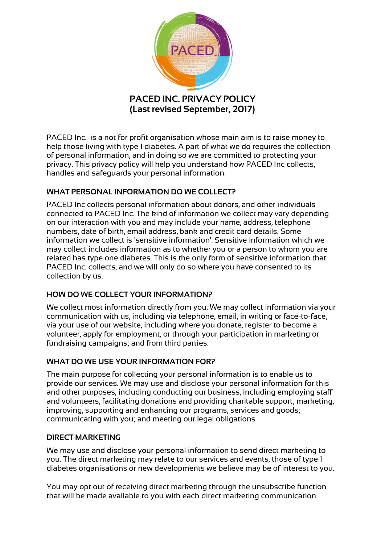

(Last revised September, 2017)

PACED Inc. is a not for profit organisation whose main aim is to raise money to help those living with type 1 diabetes. A part of what we do requires the collection of personal information, and in doing so we are committed to protecting your privacy. This privacy policy will help you understand how PACED Inc collects, handles and safeguards your personal information.

# WHAT PERSONAL INFORMATION DO WE COLLECT?

PACED Inc collects personal information about donors, and other individuals connected to PACED Inc. The kind of information we collect may vary depending on our interaction with you and may include your name, address, telephone numbers, date of birth, email address, bank and credit card details. Some information we collect is 'sensitive information'. Sensitive information which we may collect includes information as to whether you or a person to whom you are related has type one diabetes. This is the only form of sensitive information that PACED Inc. collects, and we will only do so where you have consented to its collection by us.

# HOW DO WE COLLECT YOUR INFORMATION?

We collect most information directly from you. We may collect information via your communication with us, including via telephone, email, in writing or face-to-face; via your use of our website, including where you donate, register to become a volunteer, apply for employment, or through your participation in marketing or fundraising campaigns; and from third parties.

## WHAT DO WE USE YOUR INFORMATION FOR?

The main purpose for collecting your personal information is to enable us to provide our services. We may use and disclose your personal information for this and other purposes, including conducting our business, including employing staff and volunteers, facilitating donations and providing charitable support; marketing, improving, supporting and enhancing our programs, services and goods; communicating with you; and meeting our legal obligations.

## DIRECT MARKETING

We may use and disclose your personal information to send direct marketing to you. The direct marketing may relate to our services and events, those of type 1 diabetes organisations or new developments we believe may be of interest to you.

You may opt out of receiving direct marketing through the unsubscribe function that will be made available to you with each direct marketing communication.